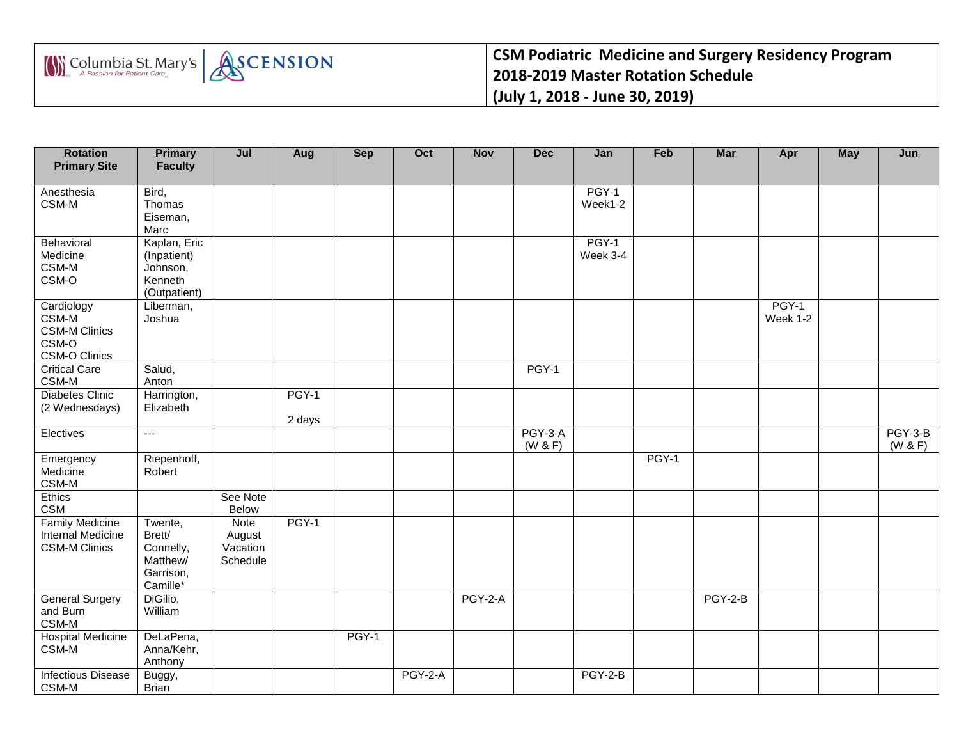



**CSM Podiatric Medicine and Surgery Residency Program 2018-2019 Master Rotation Schedule (July 1, 2018 - June 30, 2019)**

| <b>Rotation</b><br><b>Primary Site</b>                                         | <b>Primary</b><br><b>Faculty</b>                                    | Jul                                           | Aug             | <b>Sep</b> | Oct       | <b>Nov</b>     | <b>Dec</b>         | Jan                | Feb   | Mar            | Apr               | May | Jun                  |
|--------------------------------------------------------------------------------|---------------------------------------------------------------------|-----------------------------------------------|-----------------|------------|-----------|----------------|--------------------|--------------------|-------|----------------|-------------------|-----|----------------------|
| Anesthesia<br>CSM-M                                                            | Bird,<br>Thomas<br>Eiseman,<br>Marc                                 |                                               |                 |            |           |                |                    | $PGY-1$<br>Week1-2 |       |                |                   |     |                      |
| Behavioral<br>Medicine<br>CSM-M<br>CSM-O                                       | Kaplan, Eric<br>(Inpatient)<br>Johnson,<br>Kenneth<br>(Outpatient)  |                                               |                 |            |           |                |                    | PGY-1<br>Week 3-4  |       |                |                   |     |                      |
| Cardiology<br>$CSM-M$<br><b>CSM-M Clinics</b><br>CSM-O<br><b>CSM-O Clinics</b> | Liberman,<br>Joshua                                                 |                                               |                 |            |           |                |                    |                    |       |                | PGY-1<br>Week 1-2 |     |                      |
| <b>Critical Care</b><br>$CSM-M$                                                | Salud,<br>Anton                                                     |                                               |                 |            |           |                | PGY-1              |                    |       |                |                   |     |                      |
| <b>Diabetes Clinic</b><br>(2 Wednesdays)                                       | Harrington,<br>Elizabeth                                            |                                               | PGY-1<br>2 days |            |           |                |                    |                    |       |                |                   |     |                      |
| Electives                                                                      | $\overline{a}$                                                      |                                               |                 |            |           |                | PGY-3-A<br>(W & F) |                    |       |                |                   |     | $PGY-3-B$<br>(W & F) |
| Emergency<br>Medicine<br>CSM-M                                                 | Riepenhoff,<br>Robert                                               |                                               |                 |            |           |                |                    |                    | PGY-1 |                |                   |     |                      |
| Ethics<br><b>CSM</b>                                                           |                                                                     | See Note<br><b>Below</b>                      |                 |            |           |                |                    |                    |       |                |                   |     |                      |
| <b>Family Medicine</b><br><b>Internal Medicine</b><br><b>CSM-M Clinics</b>     | Twente,<br>Brett/<br>Connelly,<br>Matthew/<br>Garrison,<br>Camille* | <b>Note</b><br>August<br>Vacation<br>Schedule | PGY-1           |            |           |                |                    |                    |       |                |                   |     |                      |
| <b>General Surgery</b><br>and Burn<br>CSM-M                                    | DiGilio,<br>William                                                 |                                               |                 |            |           | <b>PGY-2-A</b> |                    |                    |       | <b>PGY-2-B</b> |                   |     |                      |
| <b>Hospital Medicine</b><br>CSM-M                                              | DeLaPena,<br>Anna/Kehr,<br>Anthony                                  |                                               |                 | PGY-1      |           |                |                    |                    |       |                |                   |     |                      |
| <b>Infectious Disease</b><br>CSM-M                                             | Buggy,<br><b>Brian</b>                                              |                                               |                 |            | $PGY-2-A$ |                |                    | $PGY-2-B$          |       |                |                   |     |                      |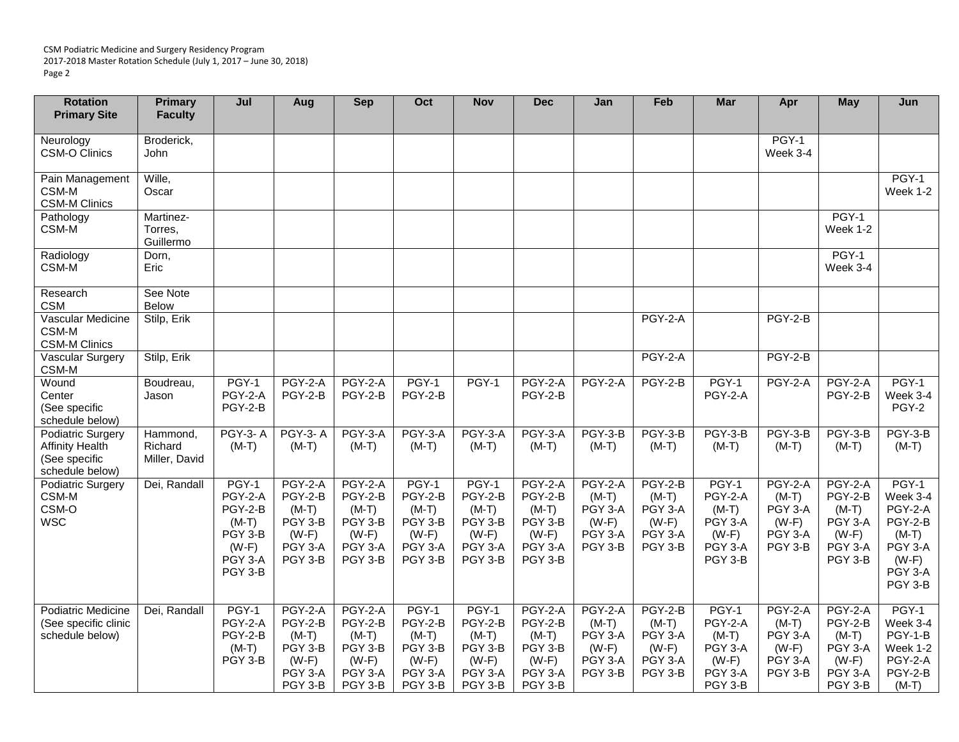CSM Podiatric Medicine and Surgery Residency Program 2017-2018 Master Rotation Schedule (July 1, 2017 – June 30, 2018) Page 2

| <b>Rotation</b><br><b>Primary Site</b>                                                 | Primary<br><b>Faculty</b>            | Jul                                                                                | Aug                                                                              | <b>Sep</b>                                                                       | Oct                                                                     | <b>Nov</b>                                                              | <b>Dec</b>                                                                       | Jan                                                                   | Feb                                                              | <b>Mar</b>                                                              | Apr                                                                   | <b>May</b>                                                                       | Jun                                                                                            |
|----------------------------------------------------------------------------------------|--------------------------------------|------------------------------------------------------------------------------------|----------------------------------------------------------------------------------|----------------------------------------------------------------------------------|-------------------------------------------------------------------------|-------------------------------------------------------------------------|----------------------------------------------------------------------------------|-----------------------------------------------------------------------|------------------------------------------------------------------|-------------------------------------------------------------------------|-----------------------------------------------------------------------|----------------------------------------------------------------------------------|------------------------------------------------------------------------------------------------|
| Neurology<br><b>CSM-O Clinics</b>                                                      | Broderick,<br>John                   |                                                                                    |                                                                                  |                                                                                  |                                                                         |                                                                         |                                                                                  |                                                                       |                                                                  |                                                                         | PGY-1<br>Week 3-4                                                     |                                                                                  |                                                                                                |
| Pain Management<br>CSM-M<br><b>CSM-M Clinics</b>                                       | Wille,<br>Oscar                      |                                                                                    |                                                                                  |                                                                                  |                                                                         |                                                                         |                                                                                  |                                                                       |                                                                  |                                                                         |                                                                       |                                                                                  | $PGY-1$<br>Week 1-2                                                                            |
| Pathology<br>CSM-M                                                                     | Martinez-<br>Torres,<br>Guillermo    |                                                                                    |                                                                                  |                                                                                  |                                                                         |                                                                         |                                                                                  |                                                                       |                                                                  |                                                                         |                                                                       | PGY-1<br>Week 1-2                                                                |                                                                                                |
| Radiology<br>CSM-M                                                                     | Dorn,<br>Eric                        |                                                                                    |                                                                                  |                                                                                  |                                                                         |                                                                         |                                                                                  |                                                                       |                                                                  |                                                                         |                                                                       | $PGY-1$<br>Week 3-4                                                              |                                                                                                |
| Research<br><b>CSM</b>                                                                 | See Note<br><b>Below</b>             |                                                                                    |                                                                                  |                                                                                  |                                                                         |                                                                         |                                                                                  |                                                                       |                                                                  |                                                                         |                                                                       |                                                                                  |                                                                                                |
| Vascular Medicine<br>CSM-M<br><b>CSM-M Clinics</b>                                     | Stilp, Erik                          |                                                                                    |                                                                                  |                                                                                  |                                                                         |                                                                         |                                                                                  |                                                                       | <b>PGY-2-A</b>                                                   |                                                                         | $PGY-2-B$                                                             |                                                                                  |                                                                                                |
| Vascular Surgery<br>CSM-M                                                              | Stilp, Erik                          |                                                                                    |                                                                                  |                                                                                  |                                                                         |                                                                         |                                                                                  |                                                                       | <b>PGY-2-A</b>                                                   |                                                                         | $PGY-2-B$                                                             |                                                                                  |                                                                                                |
| Wound<br>Center<br>(See specific<br>schedule below)                                    | Boudreau,<br>Jason                   | PGY-1<br>PGY-2-A<br>PGY-2-B                                                        | PGY-2-A<br>PGY-2-B                                                               | PGY-2-A<br>PGY-2-B                                                               | PGY-1<br>PGY-2-B                                                        | PGY-1                                                                   | PGY-2-A<br>PGY-2-B                                                               | $PGY-2-A$                                                             | PGY-2-B                                                          | PGY-1<br>PGY-2-A                                                        | PGY-2-A                                                               | $PGY-2-A$<br>PGY-2-B                                                             | PGY-1<br>Week 3-4<br>PGY-2                                                                     |
| <b>Podiatric Surgery</b><br><b>Affinity Health</b><br>(See specific<br>schedule below) | Hammond,<br>Richard<br>Miller, David | <b>PGY-3-A</b><br>$(M-T)$                                                          | <b>PGY-3-A</b><br>$(M-T)$                                                        | PGY-3-A<br>$(M-T)$                                                               | PGY-3-A<br>$(M-T)$                                                      | <b>PGY-3-A</b><br>$(M-T)$                                               | <b>PGY-3-A</b><br>$(M-T)$                                                        | <b>PGY-3-B</b><br>$(M-T)$                                             | PGY-3-B<br>$(M-T)$                                               | PGY-3-B<br>$(M-T)$                                                      | PGY-3-B<br>$(M-T)$                                                    | PGY-3-B<br>$(M-T)$                                                               | PGY-3-B<br>$(M-T)$                                                                             |
| Podiatric Surgery<br>CSM-M<br>CSM-O<br><b>WSC</b>                                      | Dei, Randall                         | PGY-1<br>PGY-2-A<br>PGY-2-B<br>$(M-T)$<br>PGY 3-B<br>$(W-F)$<br>PGY 3-A<br>PGY 3-B | <b>PGY-2-A</b><br>PGY-2-B<br>$(M-T)$<br>PGY 3-B<br>$(W-F)$<br>PGY 3-A<br>PGY 3-B | <b>PGY-2-A</b><br>PGY-2-B<br>$(M-T)$<br>PGY 3-B<br>$(W-F)$<br>PGY 3-A<br>PGY 3-B | PGY-1<br>PGY-2-B<br>$(M-T)$<br>PGY 3-B<br>$(W-F)$<br>PGY 3-A<br>PGY 3-B | PGY-1<br>PGY-2-B<br>$(M-T)$<br>PGY 3-B<br>$(W-F)$<br>PGY 3-A<br>PGY 3-B | PGY-2-A<br>PGY-2-B<br>$(M-T)$<br>PGY 3-B<br>$(W-F)$<br>PGY 3-A<br>PGY 3-B        | <b>PGY-2-A</b><br>$(M-T)$<br>PGY 3-A<br>$(W-F)$<br>PGY 3-A<br>PGY 3-B | $PGY-2-B$<br>$(M-T)$<br>PGY 3-A<br>$(W-F)$<br>PGY 3-A<br>PGY 3-B | PGY-1<br>PGY-2-A<br>$(M-T)$<br>PGY 3-A<br>$(W-F)$<br>PGY 3-A<br>PGY 3-B | <b>PGY-2-A</b><br>$(M-T)$<br>PGY 3-A<br>$(W-F)$<br>PGY 3-A<br>PGY 3-B | <b>PGY-2-A</b><br>PGY-2-B<br>$(M-T)$<br>PGY 3-A<br>$(W-F)$<br>PGY 3-A<br>PGY 3-B | PGY-1<br>Week 3-4<br>PGY-2-A<br>PGY-2-B<br>$(M-T)$<br>PGY 3-A<br>$(W-F)$<br>PGY 3-A<br>PGY 3-B |
| <b>Podiatric Medicine</b><br>(See specific clinic<br>schedule below)                   | Dei, Randall                         | PGY-1<br>PGY-2-A<br>PGY-2-B<br>$(M-T)$<br>PGY 3-B                                  | <b>PGY-2-A</b><br>PGY-2-B<br>$(M-T)$<br>PGY 3-B<br>$(W-F)$<br>PGY 3-A<br>PGY 3-B | <b>PGY-2-A</b><br>PGY-2-B<br>$(M-T)$<br>PGY 3-B<br>$(W-F)$<br>PGY 3-A<br>PGY 3-B | PGY-1<br>PGY-2-B<br>$(M-T)$<br>PGY 3-B<br>$(W-F)$<br>PGY 3-A<br>PGY 3-B | PGY-1<br>PGY-2-B<br>$(M-T)$<br>PGY 3-B<br>$(W-F)$<br>PGY 3-A<br>PGY 3-B | <b>PGY-2-A</b><br>PGY-2-B<br>$(M-T)$<br>PGY 3-B<br>$(W-F)$<br>PGY 3-A<br>PGY 3-B | <b>PGY-2-A</b><br>$(M-T)$<br>PGY 3-A<br>$(W-F)$<br>PGY 3-A<br>PGY 3-B | $PGY-2-B$<br>$(M-T)$<br>PGY 3-A<br>$(W-F)$<br>PGY 3-A<br>PGY 3-B | PGY-1<br>PGY-2-A<br>$(M-T)$<br>PGY 3-A<br>$(W-F)$<br>PGY 3-A<br>PGY 3-B | <b>PGY-2-A</b><br>$(M-T)$<br>PGY 3-A<br>$(W-F)$<br>PGY 3-A<br>PGY 3-B | PGY-2-A<br>PGY-2-B<br>$(M-T)$<br>PGY 3-A<br>$(W-F)$<br>PGY 3-A<br>PGY 3-B        | PGY-1<br>Week 3-4<br>PGY-1-B<br>Week 1-2<br>PGY-2-A<br>PGY-2-B<br>$(M-T)$                      |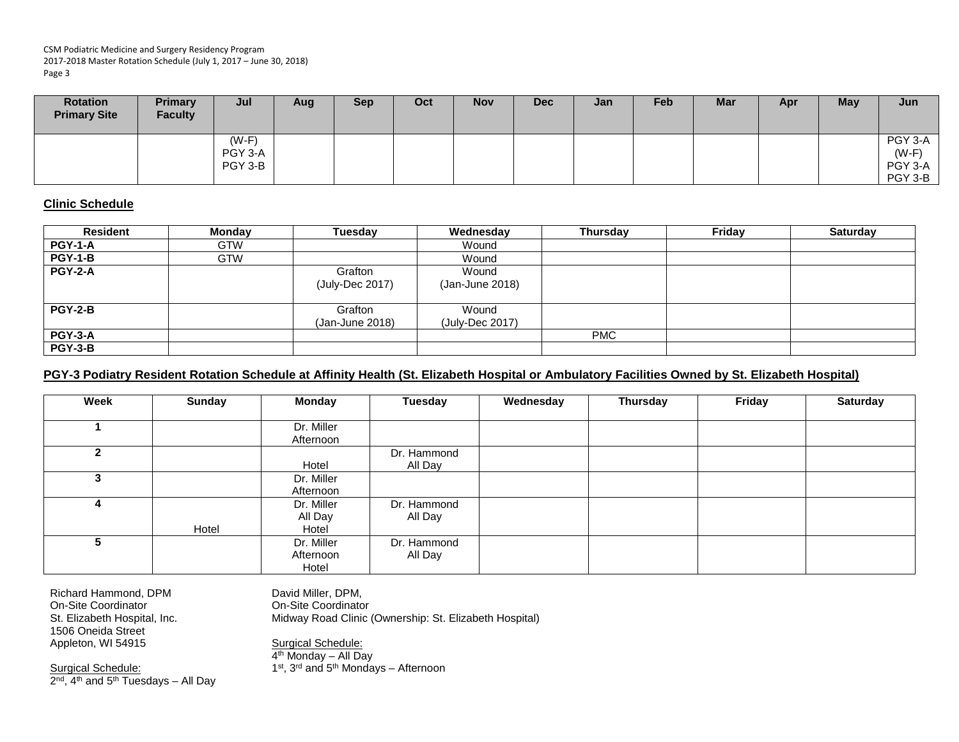CSM Podiatric Medicine and Surgery Residency Program 2017-2018 Master Rotation Schedule (July 1, 2017 – June 30, 2018) Page 3

| <b>Rotation</b><br><b>Primary Site</b> | <b>Primary</b><br><b>Faculty</b> | Jul                           | Aug | <b>Sep</b> | Oct | <b>Nov</b> | <b>Dec</b> | Jan | <b>Feb</b> | <b>Mar</b> | Apr | May | Jun                                      |
|----------------------------------------|----------------------------------|-------------------------------|-----|------------|-----|------------|------------|-----|------------|------------|-----|-----|------------------------------------------|
|                                        |                                  | $(W-F)$<br>PGY 3-A<br>PGY 3-B |     |            |     |            |            |     |            |            |     |     | PGY 3-A<br>$(W-F)$<br>PGY 3-A<br>PGY 3-B |

## **Clinic Schedule**

| <b>Resident</b> | <b>Monday</b> | Tuesday                    | Wednesday                | Thursday   | Friday | <b>Saturday</b> |
|-----------------|---------------|----------------------------|--------------------------|------------|--------|-----------------|
| <b>PGY-1-A</b>  | <b>GTW</b>    |                            | Wound                    |            |        |                 |
| <b>PGY-1-B</b>  | <b>GTW</b>    |                            | Wound                    |            |        |                 |
| <b>PGY-2-A</b>  |               | Grafton<br>(July-Dec 2017) | Wound<br>(Jan-June 2018) |            |        |                 |
| <b>PGY-2-B</b>  |               | Grafton<br>(Jan-June 2018) | Wound<br>(July-Dec 2017) |            |        |                 |
| <b>PGY-3-A</b>  |               |                            |                          | <b>PMC</b> |        |                 |
| <b>PGY-3-B</b>  |               |                            |                          |            |        |                 |

## **PGY-3 Podiatry Resident Rotation Schedule at Affinity Health (St. Elizabeth Hospital or Ambulatory Facilities Owned by St. Elizabeth Hospital)**

| Week | Sunday | <b>Monday</b> | <b>Tuesday</b> | Wednesday | Thursday | Friday | <b>Saturday</b> |
|------|--------|---------------|----------------|-----------|----------|--------|-----------------|
|      |        |               |                |           |          |        |                 |
|      |        | Dr. Miller    |                |           |          |        |                 |
|      |        | Afternoon     |                |           |          |        |                 |
|      |        |               | Dr. Hammond    |           |          |        |                 |
|      |        | Hotel         | All Day        |           |          |        |                 |
| 3    |        | Dr. Miller    |                |           |          |        |                 |
|      |        | Afternoon     |                |           |          |        |                 |
| 4    |        | Dr. Miller    | Dr. Hammond    |           |          |        |                 |
|      |        | All Day       | All Day        |           |          |        |                 |
|      | Hotel  | Hotel         |                |           |          |        |                 |
| 5.   |        | Dr. Miller    | Dr. Hammond    |           |          |        |                 |
|      |        | Afternoon     | All Day        |           |          |        |                 |
|      |        | Hotel         |                |           |          |        |                 |

Richard Hammond, DPM On-Site Coordinator St. Elizabeth Hospital, Inc. 1506 Oneida Street Appleton, WI 54915

David Miller, DPM, On-Site Coordinator Midway Road Clinic (Ownership: St. Elizabeth Hospital)

Surgical Schedule: 2<sup>nd</sup>, 4<sup>th</sup> and 5<sup>th</sup> Tuesdays – All Day Surgical Schedule: 4<sup>th</sup> Monday – All Day 1st,  $3^{rd}$  and  $5^{th}$  Mondays – Afternoon